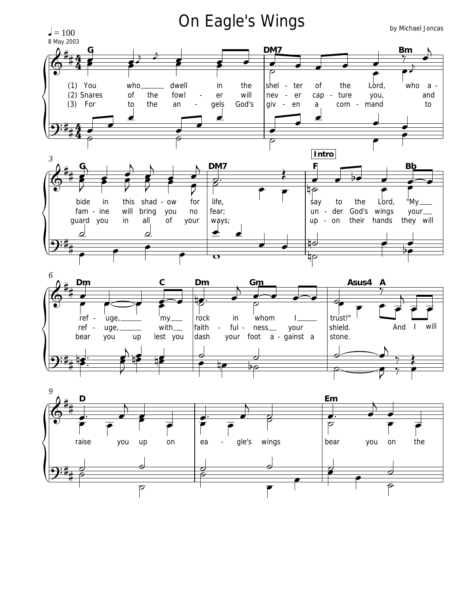